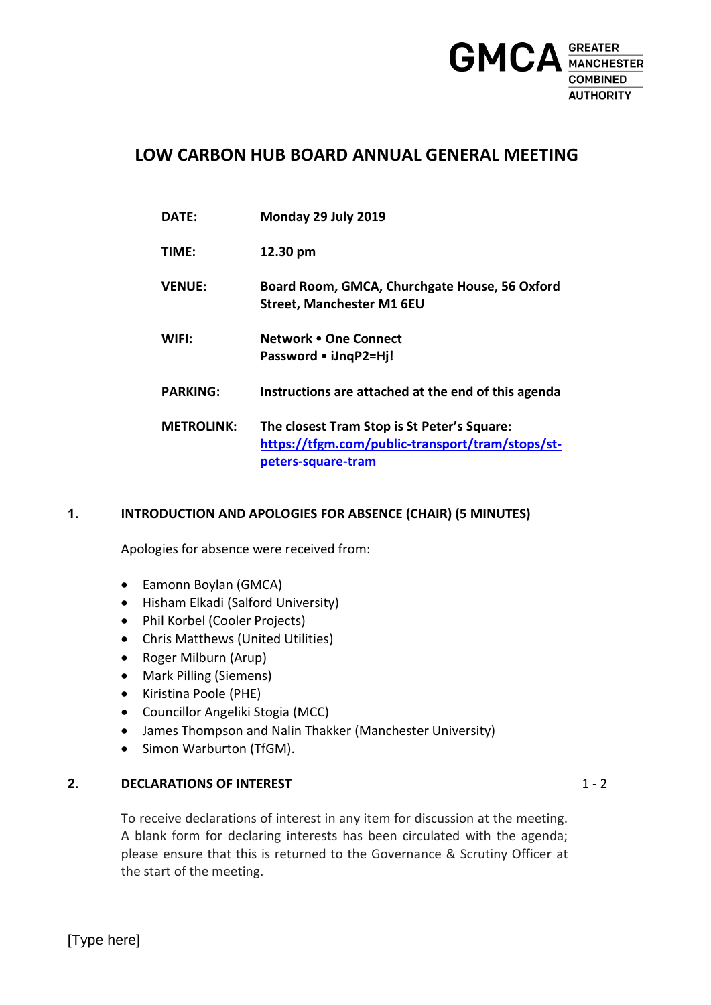

## **LOW CARBON HUB BOARD ANNUAL GENERAL MEETING**

**DATE: Monday 29 July 2019 TIME: 12.30 pm VENUE: Board Room, GMCA, Churchgate House, 56 Oxford Street, Manchester M1 6EU WIFI: Network One Connect Password iJnqP2=Hj! PARKING: Instructions are attached at the end of this agenda METROLINK: The closest Tram Stop is St Peter's Square: [https://tfgm.com/public-transport/tram/stops/st](https://tfgm.com/public-transport/tram/stops/st-peters-square-tram)[peters-square-tram](https://tfgm.com/public-transport/tram/stops/st-peters-square-tram)**

#### **1. INTRODUCTION AND APOLOGIES FOR ABSENCE (CHAIR) (5 MINUTES)**

Apologies for absence were received from:

- Eamonn Boylan (GMCA)
- Hisham Elkadi (Salford University)
- Phil Korbel (Cooler Projects)
- Chris Matthews (United Utilities)
- Roger Milburn (Arup)
- Mark Pilling (Siemens)
- Kiristina Poole (PHE)
- Councillor Angeliki Stogia (MCC)
- James Thompson and Nalin Thakker (Manchester University)
- Simon Warburton (TfGM).

#### **2. DECLARATIONS OF INTEREST**

To receive declarations of interest in any item for discussion at the meeting. A blank form for declaring interests has been circulated with the agenda; please ensure that this is returned to the Governance & Scrutiny Officer at the start of the meeting.

 $1 - 2$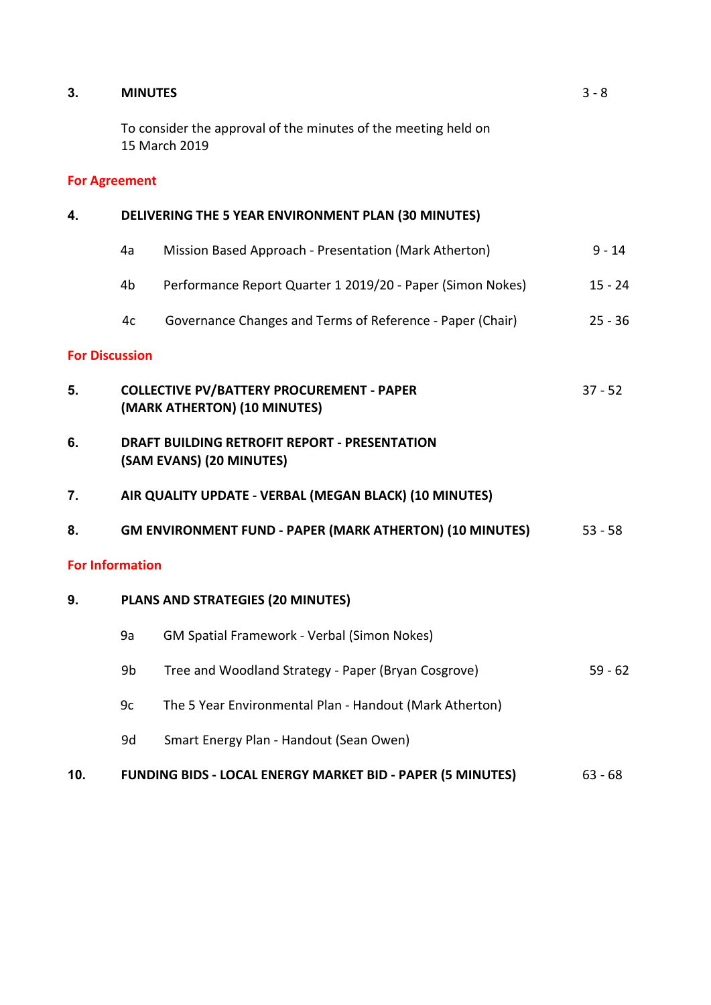### **3. MINUTES**

To consider the approval of the minutes of the meeting held on 15 March 2019

### **For Agreement**

| 4.                     | DELIVERING THE 5 YEAR ENVIRONMENT PLAN (30 MINUTES)                              |                                                                                               |           |  |
|------------------------|----------------------------------------------------------------------------------|-----------------------------------------------------------------------------------------------|-----------|--|
|                        | 4a                                                                               | Mission Based Approach - Presentation (Mark Atherton)                                         | $9 - 14$  |  |
|                        | 4b                                                                               | Performance Report Quarter 1 2019/20 - Paper (Simon Nokes)                                    | $15 - 24$ |  |
|                        | 4c                                                                               | Governance Changes and Terms of Reference - Paper (Chair)                                     | $25 - 36$ |  |
| <b>For Discussion</b>  |                                                                                  |                                                                                               |           |  |
| 5.                     |                                                                                  | <b>COLLECTIVE PV/BATTERY PROCUREMENT - PAPER</b><br>$37 - 52$<br>(MARK ATHERTON) (10 MINUTES) |           |  |
| 6.                     | <b>DRAFT BUILDING RETROFIT REPORT - PRESENTATION</b><br>(SAM EVANS) (20 MINUTES) |                                                                                               |           |  |
| 7.                     |                                                                                  | AIR QUALITY UPDATE - VERBAL (MEGAN BLACK) (10 MINUTES)                                        |           |  |
| 8.                     | <b>GM ENVIRONMENT FUND - PAPER (MARK ATHERTON) (10 MINUTES)</b>                  |                                                                                               | $53 - 58$ |  |
| <b>For Information</b> |                                                                                  |                                                                                               |           |  |
| 9.                     | PLANS AND STRATEGIES (20 MINUTES)                                                |                                                                                               |           |  |
|                        | 9a                                                                               | GM Spatial Framework - Verbal (Simon Nokes)                                                   |           |  |
|                        | 9b                                                                               | Tree and Woodland Strategy - Paper (Bryan Cosgrove)                                           | $59 - 62$ |  |
|                        | 9c                                                                               | The 5 Year Environmental Plan - Handout (Mark Atherton)                                       |           |  |
|                        | 9d                                                                               | Smart Energy Plan - Handout (Sean Owen)                                                       |           |  |
|                        |                                                                                  |                                                                                               |           |  |

# **10. FUNDING BIDS - LOCAL ENERGY MARKET BID - PAPER (5 MINUTES)** 63 - 68